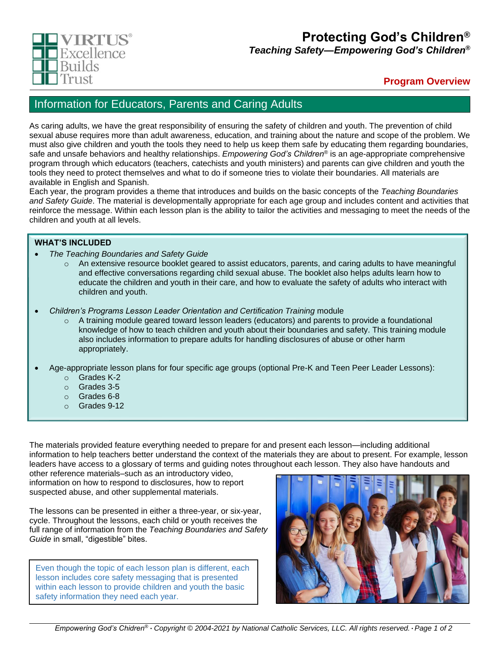

# **Protecting God's Children®**

*Teaching Safety—Empowering God's Children®*

## **Program Overview**

## Information for Educators, Parents and Caring Adults

As caring adults, we have the great responsibility of ensuring the safety of children and youth. The prevention of child sexual abuse requires more than adult awareness, education, and training about the nature and scope of the problem. We must also give children and youth the tools they need to help us keep them safe by educating them regarding boundaries, safe and unsafe behaviors and healthy relationships. *Empowering God's Children®* is an age-appropriate comprehensive program through which educators (teachers, catechists and youth ministers) and parents can give children and youth the tools they need to protect themselves and what to do if someone tries to violate their boundaries. All materials are available in English and Spanish.

Each year, the program provides a theme that introduces and builds on the basic concepts of the *Teaching Boundaries and Safety Guide*. The material is developmentally appropriate for each age group and includes content and activities that reinforce the message. Within each lesson plan is the ability to tailor the activities and messaging to meet the needs of the children and youth at all levels.

## **WHAT'S INCLUDED**

- *The Teaching Boundaries and Safety Guide*
	- o An extensive resource booklet geared to assist educators, parents, and caring adults to have meaningful and effective conversations regarding child sexual abuse. The booklet also helps adults learn how to educate the children and youth in their care, and how to evaluate the safety of adults who interact with children and youth.
- *Children's Programs Lesson Leader Orientation and Certification Training* module
	- $\circ$  A training module geared toward lesson leaders (educators) and parents to provide a foundational knowledge of how to teach children and youth about their boundaries and safety. This training module also includes information to prepare adults for handling disclosures of abuse or other harm appropriately.
- Age-appropriate lesson plans for four specific age groups (optional Pre-K and Teen Peer Leader Lessons):
	- o Grades K-2
	- o Grades 3-5
	- o Grades 6-8
	- o Grades 9-12

The materials provided feature everything needed to prepare for and present each lesson—including additional information to help teachers better understand the context of the materials they are about to present. For example, lesson leaders have access to a glossary of terms and guiding notes throughout each lesson. They also have handouts and

other reference materials–such as an introductory video, information on how to respond to disclosures, how to report suspected abuse, and other supplemental materials.

The lessons can be presented in either a three-year, or six-year, cycle. Throughout the lessons, each child or youth receives the full range of information from the *Teaching Boundaries and Safety Guide* in small, "digestible" bites.

Even though the topic of each lesson plan is different, each lesson includes core safety messaging that is presented within each lesson to provide children and youth the basic safety information they need each year.